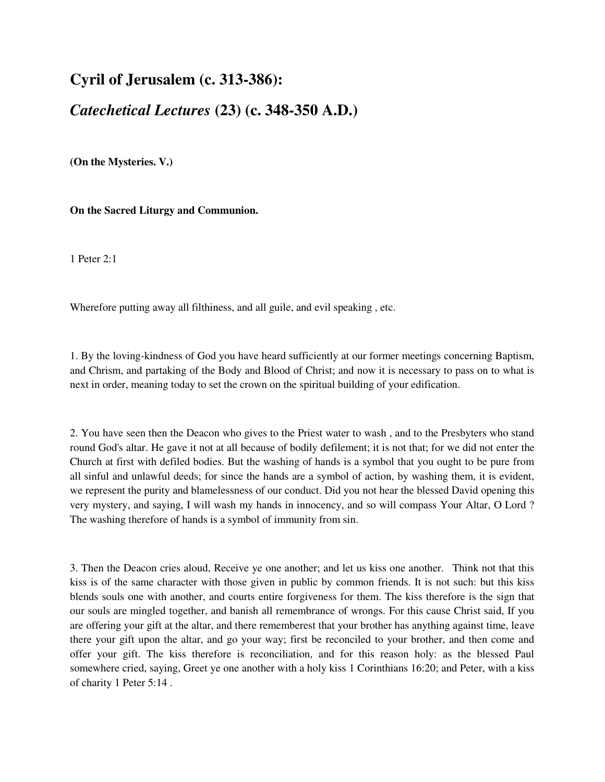## **Cyril of Jerusalem (c. 313-386):**

## *Catechetical Lectures* **(23) (c. 348-350 A.D.)**

**(On the Mysteries. V.)** 

**On the Sacred Liturgy and Communion.** 

1 Peter 2:1

Wherefore putting away all filthiness, and all guile, and evil speaking , etc.

1. By the loving-kindness of God you have heard sufficiently at our former meetings concerning Baptism, and Chrism, and partaking of the Body and Blood of Christ; and now it is necessary to pass on to what is next in order, meaning today to set the crown on the spiritual building of your edification.

2. You have seen then the Deacon who gives to the Priest water to wash , and to the Presbyters who stand round God's altar. He gave it not at all because of bodily defilement; it is not that; for we did not enter the Church at first with defiled bodies. But the washing of hands is a symbol that you ought to be pure from all sinful and unlawful deeds; for since the hands are a symbol of action, by washing them, it is evident, we represent the purity and blamelessness of our conduct. Did you not hear the blessed David opening this very mystery, and saying, I will wash my hands in innocency, and so will compass Your Altar, O Lord ? The washing therefore of hands is a symbol of immunity from sin.

3. Then the Deacon cries aloud, Receive ye one another; and let us kiss one another. Think not that this kiss is of the same character with those given in public by common friends. It is not such: but this kiss blends souls one with another, and courts entire forgiveness for them. The kiss therefore is the sign that our souls are mingled together, and banish all remembrance of wrongs. For this cause Christ said, If you are offering your gift at the altar, and there rememberest that your brother has anything against time, leave there your gift upon the altar, and go your way; first be reconciled to your brother, and then come and offer your gift. The kiss therefore is reconciliation, and for this reason holy: as the blessed Paul somewhere cried, saying, Greet ye one another with a holy kiss 1 Corinthians 16:20; and Peter, with a kiss of charity 1 Peter 5:14 .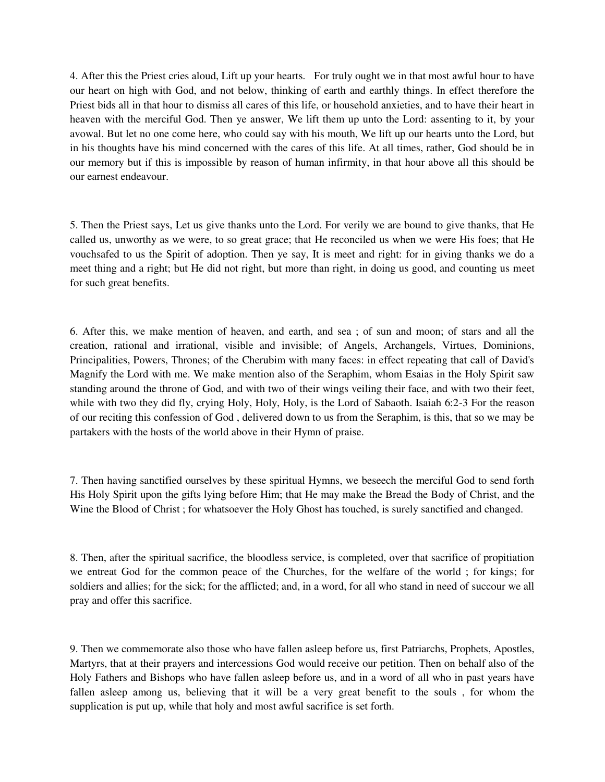4. After this the Priest cries aloud, Lift up your hearts. For truly ought we in that most awful hour to have our heart on high with God, and not below, thinking of earth and earthly things. In effect therefore the Priest bids all in that hour to dismiss all cares of this life, or household anxieties, and to have their heart in heaven with the merciful God. Then ye answer, We lift them up unto the Lord: assenting to it, by your avowal. But let no one come here, who could say with his mouth, We lift up our hearts unto the Lord, but in his thoughts have his mind concerned with the cares of this life. At all times, rather, God should be in our memory but if this is impossible by reason of human infirmity, in that hour above all this should be our earnest endeavour.

5. Then the Priest says, Let us give thanks unto the Lord. For verily we are bound to give thanks, that He called us, unworthy as we were, to so great grace; that He reconciled us when we were His foes; that He vouchsafed to us the Spirit of adoption. Then ye say, It is meet and right: for in giving thanks we do a meet thing and a right; but He did not right, but more than right, in doing us good, and counting us meet for such great benefits.

6. After this, we make mention of heaven, and earth, and sea ; of sun and moon; of stars and all the creation, rational and irrational, visible and invisible; of Angels, Archangels, Virtues, Dominions, Principalities, Powers, Thrones; of the Cherubim with many faces: in effect repeating that call of David's Magnify the Lord with me. We make mention also of the Seraphim, whom Esaias in the Holy Spirit saw standing around the throne of God, and with two of their wings veiling their face, and with two their feet, while with two they did fly, crying Holy, Holy, Holy, is the Lord of Sabaoth. Isaiah 6:2-3 For the reason of our reciting this confession of God , delivered down to us from the Seraphim, is this, that so we may be partakers with the hosts of the world above in their Hymn of praise.

7. Then having sanctified ourselves by these spiritual Hymns, we beseech the merciful God to send forth His Holy Spirit upon the gifts lying before Him; that He may make the Bread the Body of Christ, and the Wine the Blood of Christ ; for whatsoever the Holy Ghost has touched, is surely sanctified and changed.

8. Then, after the spiritual sacrifice, the bloodless service, is completed, over that sacrifice of propitiation we entreat God for the common peace of the Churches, for the welfare of the world ; for kings; for soldiers and allies; for the sick; for the afflicted; and, in a word, for all who stand in need of succour we all pray and offer this sacrifice.

9. Then we commemorate also those who have fallen asleep before us, first Patriarchs, Prophets, Apostles, Martyrs, that at their prayers and intercessions God would receive our petition. Then on behalf also of the Holy Fathers and Bishops who have fallen asleep before us, and in a word of all who in past years have fallen asleep among us, believing that it will be a very great benefit to the souls , for whom the supplication is put up, while that holy and most awful sacrifice is set forth.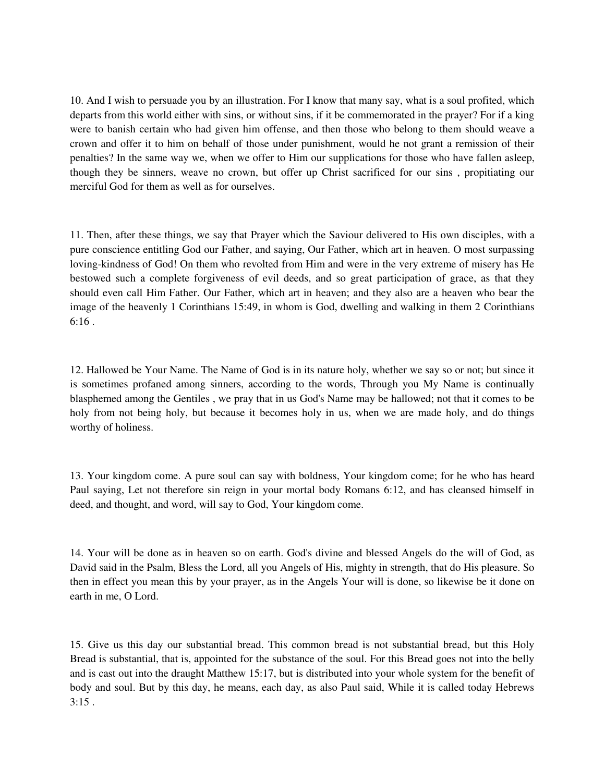10. And I wish to persuade you by an illustration. For I know that many say, what is a soul profited, which departs from this world either with sins, or without sins, if it be commemorated in the prayer? For if a king were to banish certain who had given him offense, and then those who belong to them should weave a crown and offer it to him on behalf of those under punishment, would he not grant a remission of their penalties? In the same way we, when we offer to Him our supplications for those who have fallen asleep, though they be sinners, weave no crown, but offer up Christ sacrificed for our sins , propitiating our merciful God for them as well as for ourselves.

11. Then, after these things, we say that Prayer which the Saviour delivered to His own disciples, with a pure conscience entitling God our Father, and saying, Our Father, which art in heaven. O most surpassing loving-kindness of God! On them who revolted from Him and were in the very extreme of misery has He bestowed such a complete forgiveness of evil deeds, and so great participation of grace, as that they should even call Him Father. Our Father, which art in heaven; and they also are a heaven who bear the image of the heavenly 1 Corinthians 15:49, in whom is God, dwelling and walking in them 2 Corinthians 6:16 .

12. Hallowed be Your Name. The Name of God is in its nature holy, whether we say so or not; but since it is sometimes profaned among sinners, according to the words, Through you My Name is continually blasphemed among the Gentiles , we pray that in us God's Name may be hallowed; not that it comes to be holy from not being holy, but because it becomes holy in us, when we are made holy, and do things worthy of holiness.

13. Your kingdom come. A pure soul can say with boldness, Your kingdom come; for he who has heard Paul saying, Let not therefore sin reign in your mortal body Romans 6:12, and has cleansed himself in deed, and thought, and word, will say to God, Your kingdom come.

14. Your will be done as in heaven so on earth. God's divine and blessed Angels do the will of God, as David said in the Psalm, Bless the Lord, all you Angels of His, mighty in strength, that do His pleasure. So then in effect you mean this by your prayer, as in the Angels Your will is done, so likewise be it done on earth in me, O Lord.

15. Give us this day our substantial bread. This common bread is not substantial bread, but this Holy Bread is substantial, that is, appointed for the substance of the soul. For this Bread goes not into the belly and is cast out into the draught Matthew 15:17, but is distributed into your whole system for the benefit of body and soul. But by this day, he means, each day, as also Paul said, While it is called today Hebrews  $3:15$ .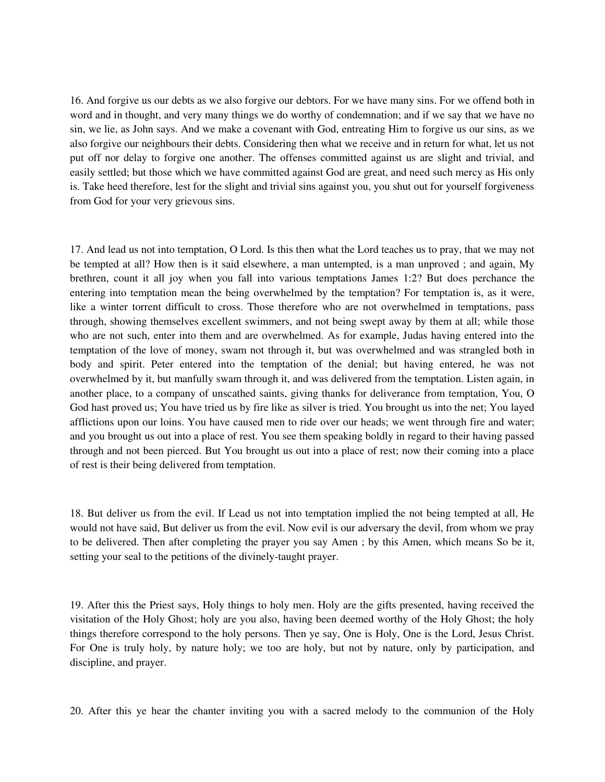16. And forgive us our debts as we also forgive our debtors. For we have many sins. For we offend both in word and in thought, and very many things we do worthy of condemnation; and if we say that we have no sin, we lie, as John says. And we make a covenant with God, entreating Him to forgive us our sins, as we also forgive our neighbours their debts. Considering then what we receive and in return for what, let us not put off nor delay to forgive one another. The offenses committed against us are slight and trivial, and easily settled; but those which we have committed against God are great, and need such mercy as His only is. Take heed therefore, lest for the slight and trivial sins against you, you shut out for yourself forgiveness from God for your very grievous sins.

17. And lead us not into temptation, O Lord. Is this then what the Lord teaches us to pray, that we may not be tempted at all? How then is it said elsewhere, a man untempted, is a man unproved ; and again, My brethren, count it all joy when you fall into various temptations James 1:2? But does perchance the entering into temptation mean the being overwhelmed by the temptation? For temptation is, as it were, like a winter torrent difficult to cross. Those therefore who are not overwhelmed in temptations, pass through, showing themselves excellent swimmers, and not being swept away by them at all; while those who are not such, enter into them and are overwhelmed. As for example, Judas having entered into the temptation of the love of money, swam not through it, but was overwhelmed and was strangled both in body and spirit. Peter entered into the temptation of the denial; but having entered, he was not overwhelmed by it, but manfully swam through it, and was delivered from the temptation. Listen again, in another place, to a company of unscathed saints, giving thanks for deliverance from temptation, You, O God hast proved us; You have tried us by fire like as silver is tried. You brought us into the net; You layed afflictions upon our loins. You have caused men to ride over our heads; we went through fire and water; and you brought us out into a place of rest. You see them speaking boldly in regard to their having passed through and not been pierced. But You brought us out into a place of rest; now their coming into a place of rest is their being delivered from temptation.

18. But deliver us from the evil. If Lead us not into temptation implied the not being tempted at all, He would not have said, But deliver us from the evil. Now evil is our adversary the devil, from whom we pray to be delivered. Then after completing the prayer you say Amen ; by this Amen, which means So be it, setting your seal to the petitions of the divinely-taught prayer.

19. After this the Priest says, Holy things to holy men. Holy are the gifts presented, having received the visitation of the Holy Ghost; holy are you also, having been deemed worthy of the Holy Ghost; the holy things therefore correspond to the holy persons. Then ye say, One is Holy, One is the Lord, Jesus Christ. For One is truly holy, by nature holy; we too are holy, but not by nature, only by participation, and discipline, and prayer.

20. After this ye hear the chanter inviting you with a sacred melody to the communion of the Holy